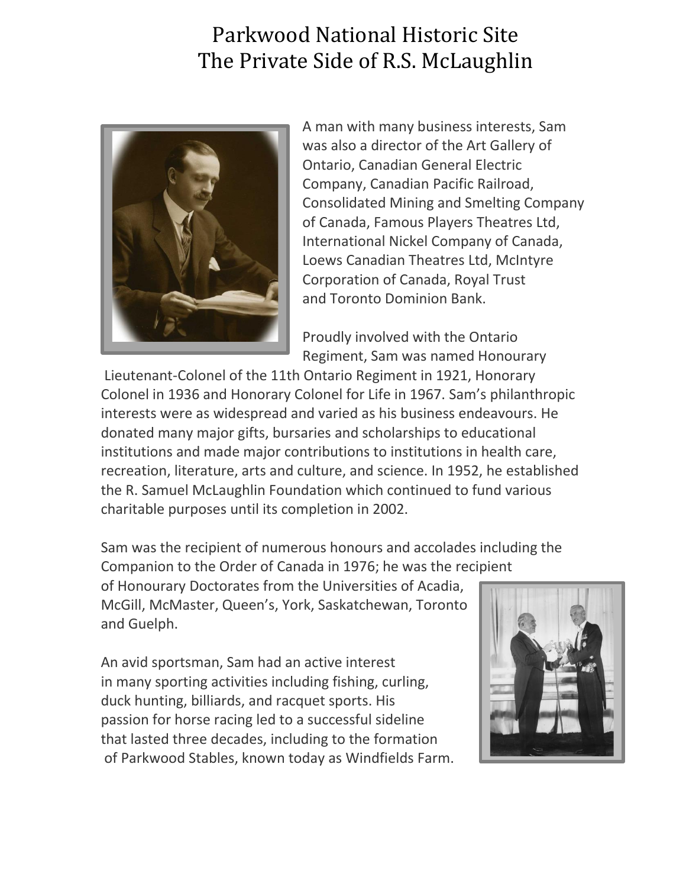## Parkwood National Historic Site The Private Side of R.S. McLaughlin



A man with many business interests, Sam was also a director of the Art Gallery of Ontario, Canadian General Electric Company, Canadian Pacific Railroad, Consolidated Mining and Smelting Company of Canada, Famous Players Theatres Ltd, International Nickel Company of Canada, Loews Canadian Theatres Ltd, McIntyre Corporation of Canada, Royal Trust and Toronto Dominion Bank.

Proudly involved with the Ontario Regiment, Sam was named Honourary

Lieutenant-Colonel of the 11th Ontario Regiment in 1921, Honorary Colonel in 1936 and Honorary Colonel for Life in 1967. Sam's philanthropic interests were as widespread and varied as his business endeavours. He donated many major gifts, bursaries and scholarships to educational institutions and made major contributions to institutions in health care, recreation, literature, arts and culture, and science. In 1952, he established the R. Samuel McLaughlin Foundation which continued to fund various charitable purposes until its completion in 2002.

Sam was the recipient of numerous honours and accolades including the Companion to the Order of Canada in 1976; he was the recipient

of Honourary Doctorates from the Universities of Acadia, McGill, McMaster, Queen's, York, Saskatchewan, Toronto and Guelph.

An avid sportsman, Sam had an active interest in many sporting activities including fishing, curling, duck hunting, billiards, and racquet sports. His passion for horse racing led to a successful sideline that lasted three decades, including to the formation of Parkwood Stables, known today as Windfields Farm.